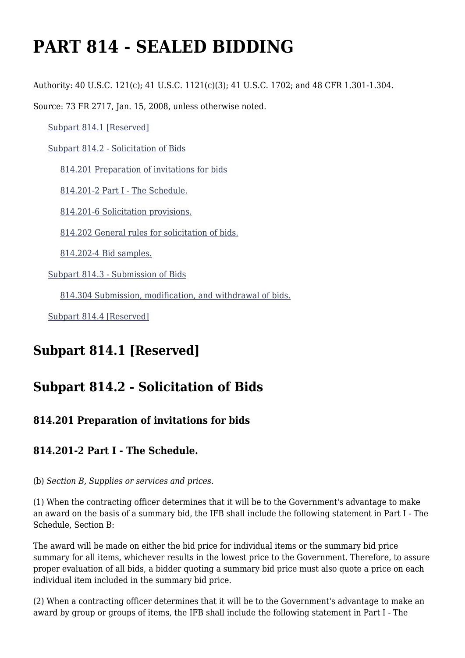# **PART 814 - SEALED BIDDING**

Authority: 40 U.S.C. 121(c); 41 U.S.C. 1121(c)(3); 41 U.S.C. 1702; and 48 CFR 1.301-1.304.

Source: 73 FR 2717, Jan. 15, 2008, unless otherwise noted.

[Subpart 814.1 \[Reserved\]](https://www.acquisition.gov/%5Brp:link:vaar-part-814%5D#Subpart_814_1_T48_50211151)

[Subpart 814.2 - Solicitation of Bids](https://www.acquisition.gov/%5Brp:link:vaar-part-814%5D#Subpart_814_2_T48_50211152)

[814.201 Preparation of invitations for bids](https://www.acquisition.gov/%5Brp:link:vaar-part-814%5D#Section_814_201_T48_5021115211)

[814.201-2 Part I - The Schedule.](https://www.acquisition.gov/%5Brp:link:vaar-part-814%5D#Section_814_201_2_T48_5021115212)

[814.201-6 Solicitation provisions.](https://www.acquisition.gov/%5Brp:link:vaar-part-814%5D#Section_814_201_6_T48_5021115213)

[814.202 General rules for solicitation of bids.](https://www.acquisition.gov/%5Brp:link:vaar-part-814%5D#Section_814_202_T48_5021115214)

[814.202-4 Bid samples.](https://www.acquisition.gov/%5Brp:link:vaar-part-814%5D#Section_814_202_4_T48_5021115215)

[Subpart 814.3 - Submission of Bids](https://www.acquisition.gov/%5Brp:link:vaar-part-814%5D#Subpart_814_3_T48_50211153)

[814.304 Submission, modification, and withdrawal of bids.](https://www.acquisition.gov/%5Brp:link:vaar-part-814%5D#Section_814_304_T48_5021115311)

[Subpart 814.4 \[Reserved\]](https://www.acquisition.gov/%5Brp:link:vaar-part-814%5D#Subpart_814_4_T48_50211154)

## **Subpart 814.1 [Reserved]**

# **Subpart 814.2 - Solicitation of Bids**

### **814.201 Preparation of invitations for bids**

### **814.201-2 Part I - The Schedule.**

(b) *Section B, Supplies or services and prices.*

(1) When the contracting officer determines that it will be to the Government's advantage to make an award on the basis of a summary bid, the IFB shall include the following statement in Part I - The Schedule, Section B:

The award will be made on either the bid price for individual items or the summary bid price summary for all items, whichever results in the lowest price to the Government. Therefore, to assure proper evaluation of all bids, a bidder quoting a summary bid price must also quote a price on each individual item included in the summary bid price.

(2) When a contracting officer determines that it will be to the Government's advantage to make an award by group or groups of items, the IFB shall include the following statement in Part I - The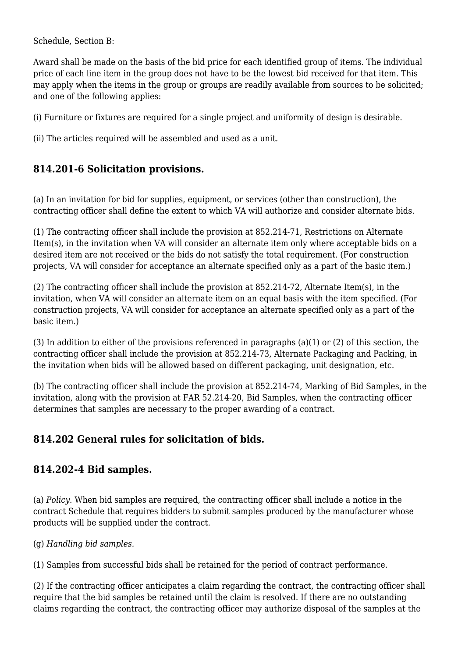Schedule, Section B:

Award shall be made on the basis of the bid price for each identified group of items. The individual price of each line item in the group does not have to be the lowest bid received for that item. This may apply when the items in the group or groups are readily available from sources to be solicited; and one of the following applies:

(i) Furniture or fixtures are required for a single project and uniformity of design is desirable.

(ii) The articles required will be assembled and used as a unit.

## **814.201-6 Solicitation provisions.**

(a) In an invitation for bid for supplies, equipment, or services (other than construction), the contracting officer shall define the extent to which VA will authorize and consider alternate bids.

(1) The contracting officer shall include the provision at 852.214-71, Restrictions on Alternate Item(s), in the invitation when VA will consider an alternate item only where acceptable bids on a desired item are not received or the bids do not satisfy the total requirement. (For construction projects, VA will consider for acceptance an alternate specified only as a part of the basic item.)

(2) The contracting officer shall include the provision at 852.214-72, Alternate Item(s), in the invitation, when VA will consider an alternate item on an equal basis with the item specified. (For construction projects, VA will consider for acceptance an alternate specified only as a part of the basic item.)

(3) In addition to either of the provisions referenced in paragraphs (a)(1) or (2) of this section, the contracting officer shall include the provision at 852.214-73, Alternate Packaging and Packing, in the invitation when bids will be allowed based on different packaging, unit designation, etc.

(b) The contracting officer shall include the provision at 852.214-74, Marking of Bid Samples, in the invitation, along with the provision at FAR 52.214-20, Bid Samples, when the contracting officer determines that samples are necessary to the proper awarding of a contract.

## **814.202 General rules for solicitation of bids.**

### **814.202-4 Bid samples.**

(a) *Policy.* When bid samples are required, the contracting officer shall include a notice in the contract Schedule that requires bidders to submit samples produced by the manufacturer whose products will be supplied under the contract.

(g) *Handling bid samples.*

(1) Samples from successful bids shall be retained for the period of contract performance.

(2) If the contracting officer anticipates a claim regarding the contract, the contracting officer shall require that the bid samples be retained until the claim is resolved. If there are no outstanding claims regarding the contract, the contracting officer may authorize disposal of the samples at the